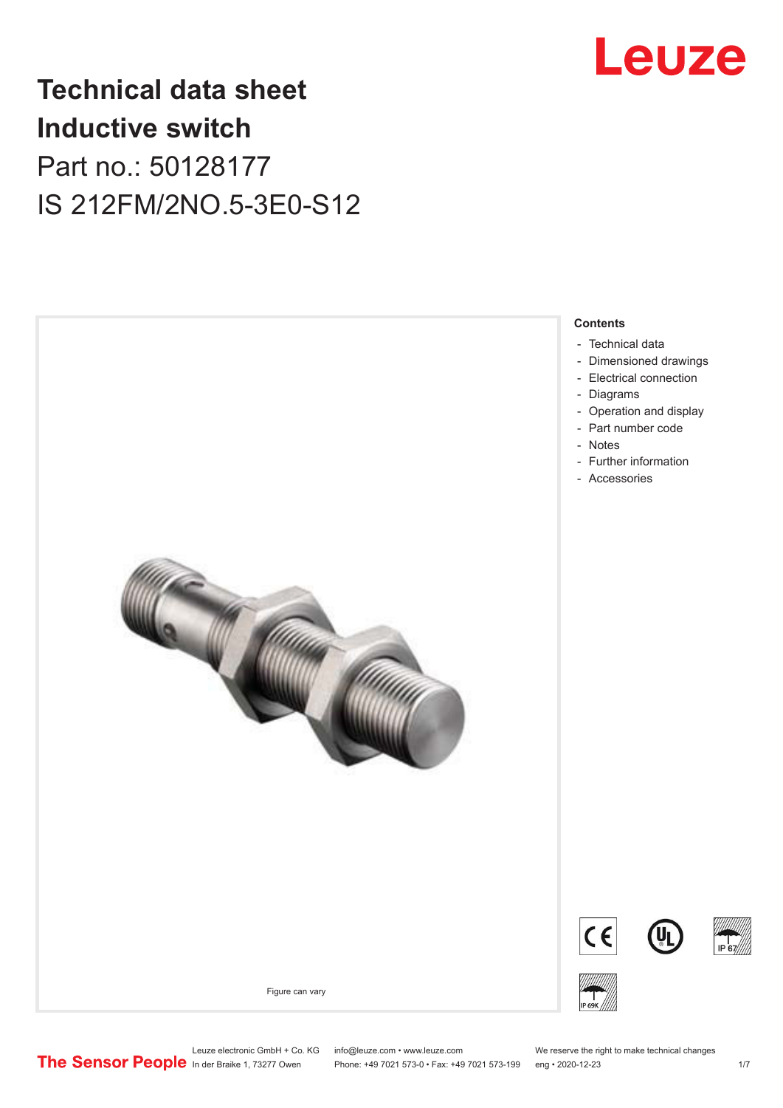

## **Technical data sheet Inductive switch** Part no.: 50128177 IS 212FM/2NO.5-3E0-S12



- [Technical data](#page-1-0)
- [Dimensioned drawings](#page-2-0)
- [Electrical connection](#page-2-0)
- [Diagrams](#page-3-0)
- [Operation and display](#page-3-0)
- [Part number code](#page-3-0)
- Notes
- [Further information](#page-5-0)
- [Accessories](#page-5-0)







Figure can vary



Phone: +49 7021 573-0 • Fax: +49 7021 573-199 eng • 2020-12-23 1 /7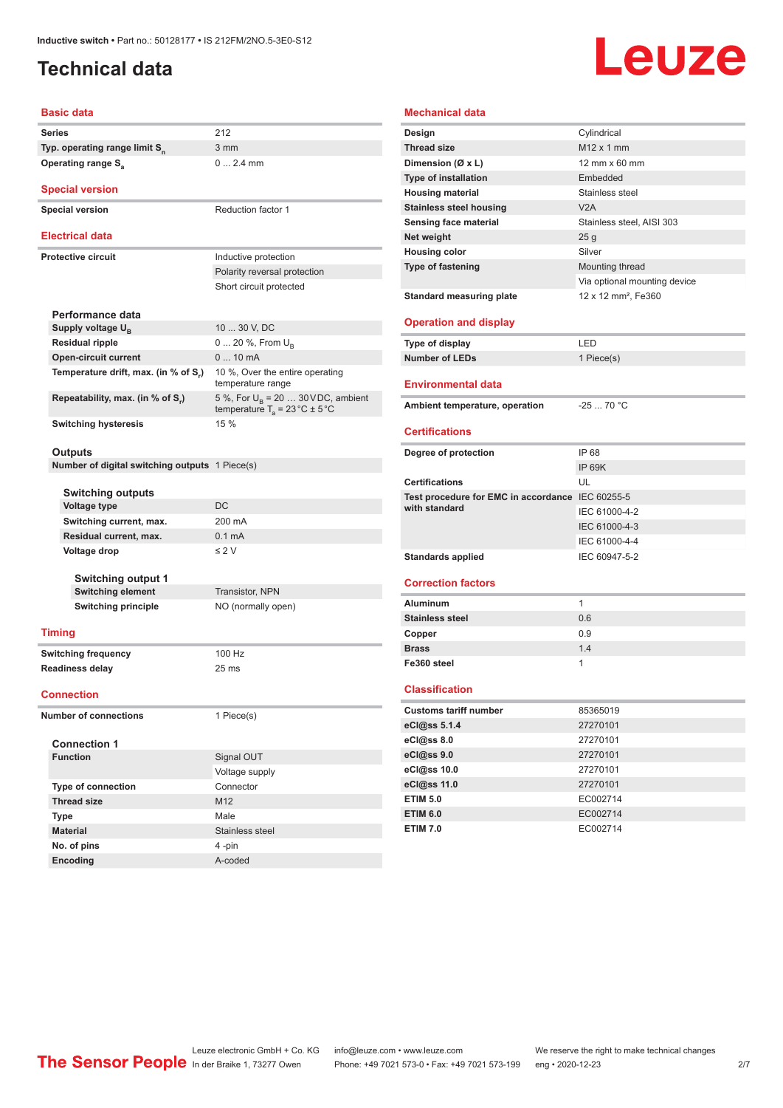### <span id="page-1-0"></span>**Technical data**

# Leuze

| <b>Basic data</b>                                                   |                                                                                          |  |  |  |
|---------------------------------------------------------------------|------------------------------------------------------------------------------------------|--|--|--|
| Series                                                              | 212                                                                                      |  |  |  |
| Typ. operating range limit S <sub>n</sub>                           | 3 mm                                                                                     |  |  |  |
| <b>Operating range S</b> <sub>a</sub>                               | $0 2.4$ mm                                                                               |  |  |  |
| <b>Special version</b>                                              |                                                                                          |  |  |  |
| <b>Special version</b>                                              | <b>Reduction factor 1</b>                                                                |  |  |  |
| <b>Electrical data</b>                                              |                                                                                          |  |  |  |
| <b>Protective circuit</b>                                           | Inductive protection                                                                     |  |  |  |
|                                                                     | Polarity reversal protection                                                             |  |  |  |
|                                                                     | Short circuit protected                                                                  |  |  |  |
|                                                                     |                                                                                          |  |  |  |
| Performance data                                                    | 10  30 V, DC                                                                             |  |  |  |
| Supply voltage U <sub>B</sub>                                       |                                                                                          |  |  |  |
| <b>Residual ripple</b>                                              | 0  20 %, From $U_{\rm B}$<br>$010$ mA                                                    |  |  |  |
| <b>Open-circuit current</b><br>Temperature drift, max. (in % of S,) | 10 %, Over the entire operating                                                          |  |  |  |
|                                                                     | temperature range                                                                        |  |  |  |
| Repeatability, max. (in % of S,)                                    | 5 %, For $U_B$ = 20  30 VDC, ambient<br>temperature $T_a = 23 \degree C \pm 5 \degree C$ |  |  |  |
| <b>Switching hysteresis</b>                                         | 15 %                                                                                     |  |  |  |
|                                                                     |                                                                                          |  |  |  |
| <b>Outputs</b>                                                      |                                                                                          |  |  |  |
| <b>Number of digital switching outputs</b> 1 Piece(s)               |                                                                                          |  |  |  |
| Switching outputs                                                   |                                                                                          |  |  |  |
| <b>Voltage type</b>                                                 | DC                                                                                       |  |  |  |
| Switching current, max.                                             | 200 mA                                                                                   |  |  |  |
| Residual current, max.                                              | 0.1 <sub>m</sub> A                                                                       |  |  |  |
| Voltage drop                                                        | $\leq$ 2 V                                                                               |  |  |  |
|                                                                     |                                                                                          |  |  |  |
| <b>Switching output 1</b>                                           |                                                                                          |  |  |  |
| <b>Switching element</b>                                            | <b>Transistor, NPN</b>                                                                   |  |  |  |
| <b>Switching principle</b>                                          | NO (normally open)                                                                       |  |  |  |
| <b>Timing</b>                                                       |                                                                                          |  |  |  |
| <b>Switching frequency</b>                                          | 100 Hz                                                                                   |  |  |  |
| <b>Readiness delay</b>                                              | 25 <sub>ms</sub>                                                                         |  |  |  |
|                                                                     |                                                                                          |  |  |  |
| <b>Connection</b>                                                   |                                                                                          |  |  |  |
| <b>Number of connections</b>                                        | 1 Piece(s)                                                                               |  |  |  |
| <b>Connection 1</b>                                                 |                                                                                          |  |  |  |
| <b>Function</b>                                                     | Signal OUT                                                                               |  |  |  |
|                                                                     | Voltage supply                                                                           |  |  |  |
| <b>Type of connection</b>                                           | Connector                                                                                |  |  |  |
| <b>Thread size</b>                                                  | M <sub>12</sub>                                                                          |  |  |  |
| <b>Type</b>                                                         | Male                                                                                     |  |  |  |
|                                                                     |                                                                                          |  |  |  |
| <b>Material</b>                                                     | Stainless steel                                                                          |  |  |  |

#### **Mechanical data**

| Design                               | Cylindrical                     |
|--------------------------------------|---------------------------------|
| <b>Thread size</b>                   | $M12 \times 1$ mm               |
| Dimension (Ø x L)                    | 12 mm x 60 mm                   |
| <b>Type of installation</b>          | Embedded                        |
| <b>Housing material</b>              | Stainless steel                 |
| <b>Stainless steel housing</b>       | V2A                             |
| Sensing face material                | Stainless steel, AISI 303       |
| Net weight                           | 25g                             |
| <b>Housing color</b>                 | Silver                          |
| <b>Type of fastening</b>             | Mounting thread                 |
|                                      | Via optional mounting device    |
| <b>Standard measuring plate</b>      | 12 x 12 mm <sup>2</sup> . Fe360 |
|                                      |                                 |
| <b>Operation and display</b>         |                                 |
| Type of display                      | LED                             |
| <b>Number of LEDs</b>                | 1 Piece(s)                      |
| <b>Environmental data</b>            |                                 |
| Ambient temperature, operation       | $-2570 °C$                      |
|                                      |                                 |
| <b>Certifications</b>                |                                 |
| Degree of protection                 | IP 68                           |
|                                      | <b>IP 69K</b>                   |
| <b>Certifications</b>                | UL                              |
| Test procedure for EMC in accordance | IEC 60255-5                     |
| with standard                        | IEC 61000-4-2                   |
|                                      | IEC 61000-4-3                   |
|                                      | IEC 61000-4-4                   |
| <b>Standards applied</b>             | IEC 60947-5-2                   |
|                                      |                                 |
| <b>Correction factors</b>            |                                 |
| <b>Aluminum</b>                      | 1                               |
| <b>Stainless steel</b>               | 0.6                             |
| Copper                               | 0.9                             |
| <b>Brass</b>                         | 1.4                             |
| Fe360 steel                          | 1                               |
|                                      |                                 |
| <b>Classification</b>                |                                 |
| <b>Customs tariff number</b>         | 85365019                        |
| eCl@ss 5.1.4                         | 27270101                        |
| eCl@ss 8.0                           | 27270101                        |
| eCl@ss 9.0                           | 27270101                        |
| eCl@ss 10.0                          | 27270101                        |
| eCl@ss 11.0                          | 27270101                        |
| <b>ETIM 5.0</b>                      | EC002714                        |
| <b>ETIM 6.0</b>                      | EC002714                        |
| <b>ETIM 7.0</b>                      | EC002714                        |

**Encoding** A-coded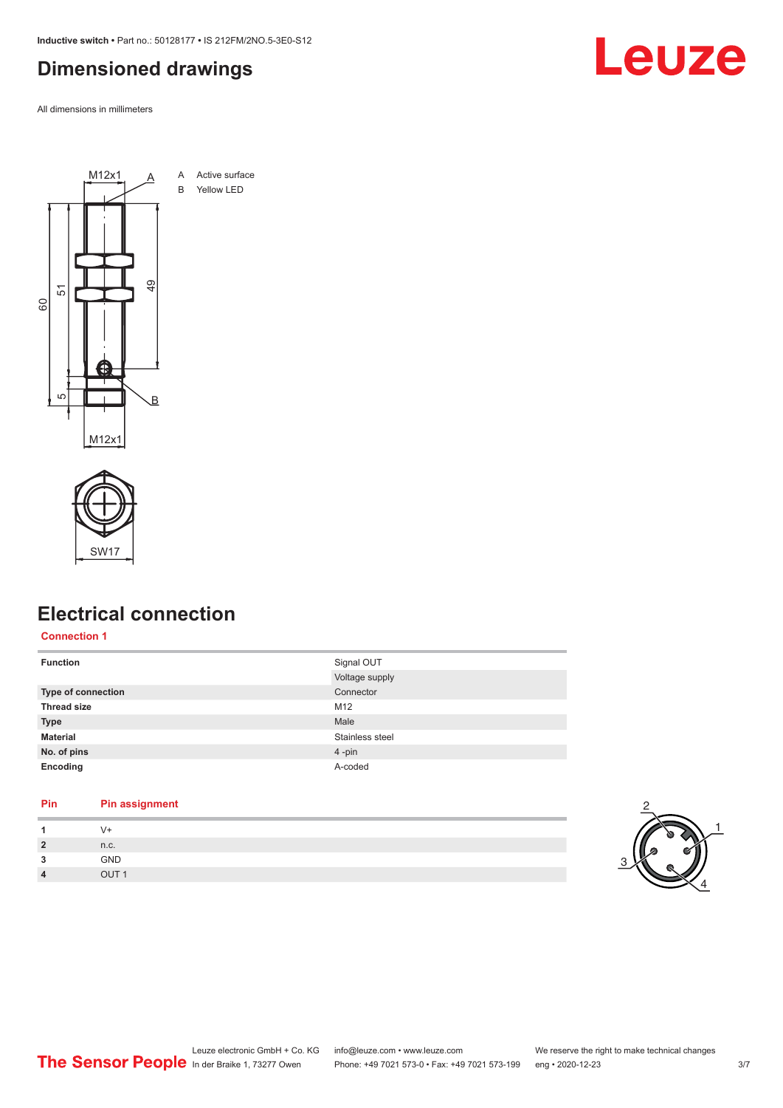<span id="page-2-0"></span>**Inductive switch •** Part no.: 50128177 **•** IS 212FM/2NO.5-3E0-S12

### **Dimensioned drawings**

All dimensions in millimeters





#### **Electrical connection**

#### **Connection 1**

| <b>Function</b>    | Signal OUT<br>Voltage supply |
|--------------------|------------------------------|
| Type of connection | Connector                    |
| <b>Thread size</b> | M12                          |
| <b>Type</b>        | Male                         |
| <b>Material</b>    | Stainless steel              |
| No. of pins        | $4$ -pin                     |
| Encoding           | A-coded                      |

#### **Pin Pin assignment**

| и               | $(1 +$          |  |
|-----------------|-----------------|--|
| $\overline{2}$  | n.c.            |  |
| $\bullet$<br>۰J | <b>GND</b>      |  |
| 4               | 511TA<br>1 ווור |  |



Leuze electronic GmbH + Co. KG info@leuze.com • www.leuze.com We reserve the right to make technical changes<br>
The Sensor People in der Braike 1, 73277 Owen Phone: +49 7021 573-0 • Fax: +49 7021 573-199 eng • 2020-12-23 Phone: +49 7021 573-0 • Fax: +49 7021 573-199 eng • 2020-12-23 3/7

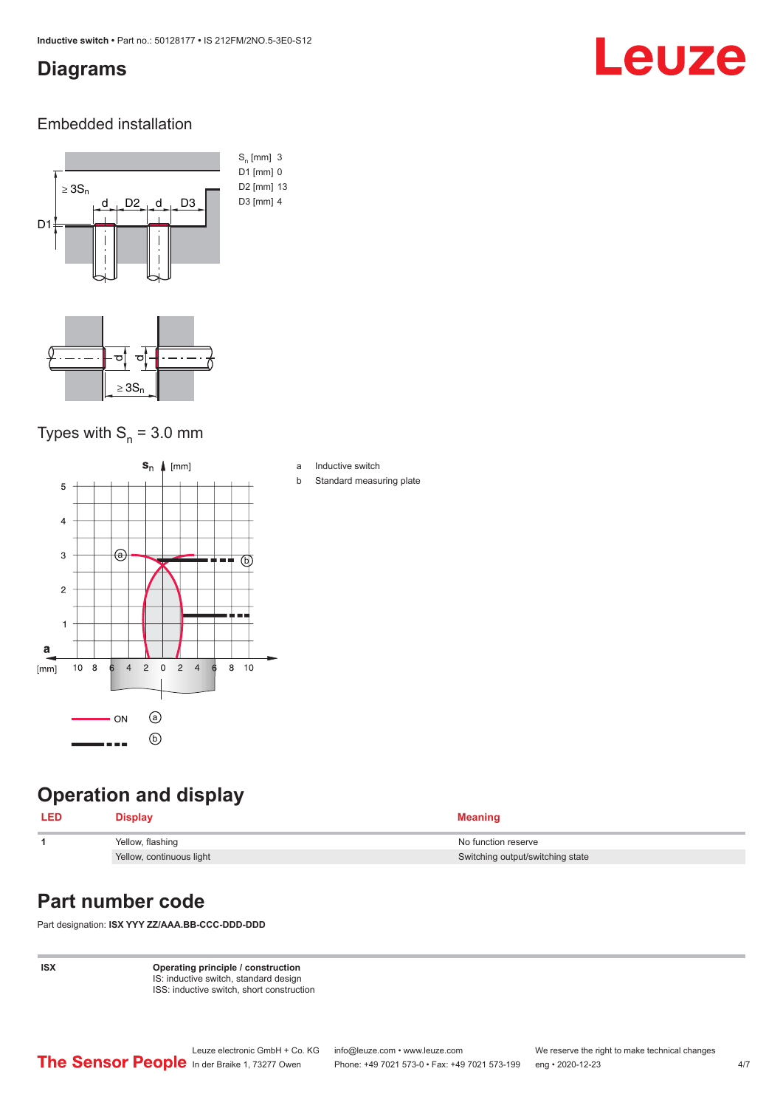#### <span id="page-3-0"></span>**Diagrams**

# Leuze

#### Embedded installation



#### Types with  $S_n = 3.0$  mm



### **Operation and display**

| <b>LED</b> | <b>Display</b>           | <b>Meaning</b>                   |
|------------|--------------------------|----------------------------------|
|            | Yellow, flashing         | No function reserve              |
|            | Yellow, continuous light | Switching output/switching state |

#### **Part number code**

Part designation: **ISX YYY ZZ/AAA.BB-CCC-DDD-DDD**

**ISX Operating principle / construction** IS: inductive switch, standard design ISS: inductive switch, short construction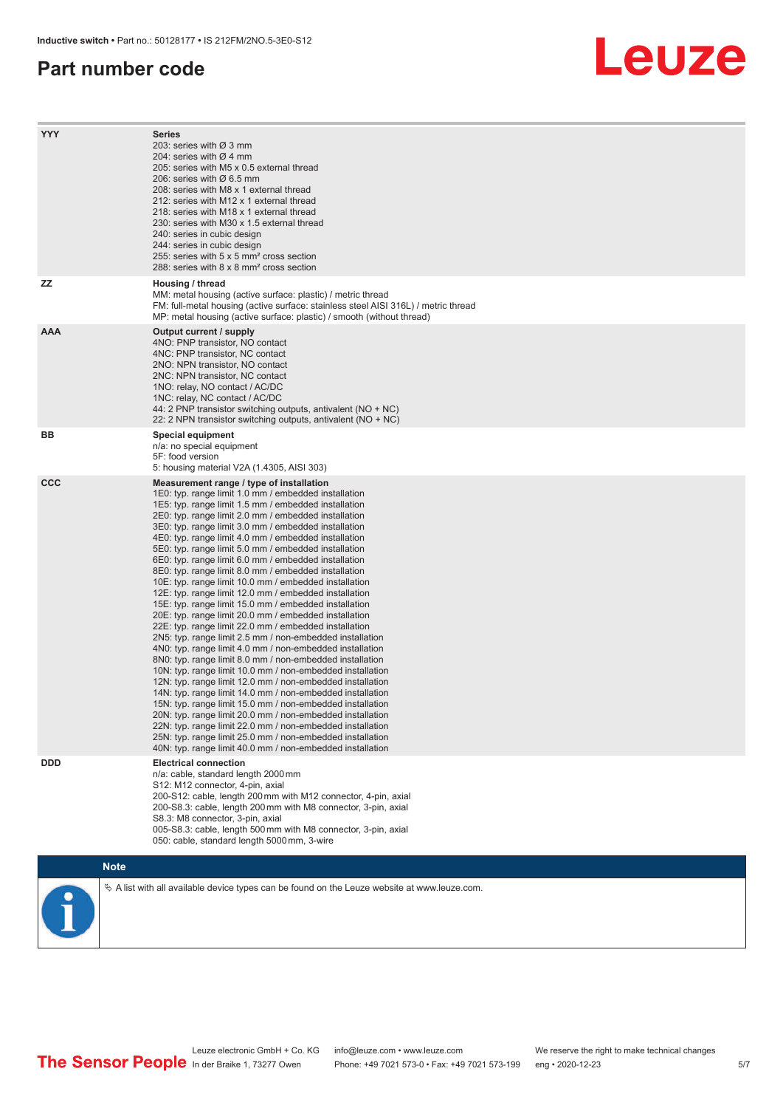#### **Part number code**

# Leuze

| <b>YYY</b> | <b>Series</b><br>203: series with Ø 3 mm<br>204: series with $\varnothing$ 4 mm<br>205; series with M5 x 0.5 external thread<br>206: series with $\varnothing$ 6.5 mm<br>208: series with M8 x 1 external thread<br>212: series with M12 x 1 external thread<br>218: series with M18 x 1 external thread<br>230: series with M30 x 1.5 external thread<br>240: series in cubic design<br>244: series in cubic design<br>255: series with 5 x 5 mm <sup>2</sup> cross section<br>288: series with 8 x 8 mm <sup>2</sup> cross section                                                                                                                                                                                                                                                                                                                                                                                                                                                                                                                                                                                                                                                                                                                                                                                                                                                                                                                                                              |
|------------|---------------------------------------------------------------------------------------------------------------------------------------------------------------------------------------------------------------------------------------------------------------------------------------------------------------------------------------------------------------------------------------------------------------------------------------------------------------------------------------------------------------------------------------------------------------------------------------------------------------------------------------------------------------------------------------------------------------------------------------------------------------------------------------------------------------------------------------------------------------------------------------------------------------------------------------------------------------------------------------------------------------------------------------------------------------------------------------------------------------------------------------------------------------------------------------------------------------------------------------------------------------------------------------------------------------------------------------------------------------------------------------------------------------------------------------------------------------------------------------------------|
| <b>ZZ</b>  | Housing / thread<br>MM: metal housing (active surface: plastic) / metric thread<br>FM: full-metal housing (active surface: stainless steel AISI 316L) / metric thread<br>MP: metal housing (active surface: plastic) / smooth (without thread)                                                                                                                                                                                                                                                                                                                                                                                                                                                                                                                                                                                                                                                                                                                                                                                                                                                                                                                                                                                                                                                                                                                                                                                                                                                    |
| <b>AAA</b> | Output current / supply<br>4NO: PNP transistor, NO contact<br>4NC: PNP transistor, NC contact<br>2NO: NPN transistor, NO contact<br>2NC: NPN transistor, NC contact<br>1NO: relay, NO contact / AC/DC<br>1NC: relay, NC contact / AC/DC<br>44: 2 PNP transistor switching outputs, antivalent (NO + NC)<br>22: 2 NPN transistor switching outputs, antivalent (NO + NC)                                                                                                                                                                                                                                                                                                                                                                                                                                                                                                                                                                                                                                                                                                                                                                                                                                                                                                                                                                                                                                                                                                                           |
| BB         | <b>Special equipment</b><br>n/a: no special equipment<br>5F: food version<br>5: housing material V2A (1.4305, AISI 303)                                                                                                                                                                                                                                                                                                                                                                                                                                                                                                                                                                                                                                                                                                                                                                                                                                                                                                                                                                                                                                                                                                                                                                                                                                                                                                                                                                           |
| <b>CCC</b> | Measurement range / type of installation<br>1E0: typ. range limit 1.0 mm / embedded installation<br>1E5: typ. range limit 1.5 mm / embedded installation<br>2E0: typ. range limit 2.0 mm / embedded installation<br>3E0: typ. range limit 3.0 mm / embedded installation<br>4E0: typ. range limit 4.0 mm / embedded installation<br>5E0: typ. range limit 5.0 mm / embedded installation<br>6E0: typ. range limit 6.0 mm / embedded installation<br>8E0: typ. range limit 8.0 mm / embedded installation<br>10E: typ. range limit 10.0 mm / embedded installation<br>12E: typ. range limit 12.0 mm / embedded installation<br>15E: typ. range limit 15.0 mm / embedded installation<br>20E: typ. range limit 20.0 mm / embedded installation<br>22E: typ. range limit 22.0 mm / embedded installation<br>2N5: typ. range limit 2.5 mm / non-embedded installation<br>4N0: typ. range limit 4.0 mm / non-embedded installation<br>8N0: typ. range limit 8.0 mm / non-embedded installation<br>10N: typ. range limit 10.0 mm / non-embedded installation<br>12N: typ. range limit 12.0 mm / non-embedded installation<br>14N: typ. range limit 14.0 mm / non-embedded installation<br>15N: typ. range limit 15.0 mm / non-embedded installation<br>20N: typ. range limit 20.0 mm / non-embedded installation<br>22N: typ. range limit 22.0 mm / non-embedded installation<br>25N: typ. range limit 25.0 mm / non-embedded installation<br>40N: typ. range limit 40.0 mm / non-embedded installation |
| <b>DDD</b> | <b>Electrical connection</b><br>n/a: cable, standard length 2000 mm<br>S12: M12 connector, 4-pin, axial<br>200-S12: cable, length 200 mm with M12 connector, 4-pin, axial<br>200-S8.3: cable, length 200 mm with M8 connector, 3-pin, axial<br>S8.3: M8 connector, 3-pin, axial<br>005-S8.3: cable, length 500 mm with M8 connector, 3-pin, axial<br>050: cable, standard length 5000 mm, 3-wire                                                                                                                                                                                                                                                                                                                                                                                                                                                                                                                                                                                                                                                                                                                                                                                                                                                                                                                                                                                                                                                                                                  |
|            | <b>Note</b>                                                                                                                                                                                                                                                                                                                                                                                                                                                                                                                                                                                                                                                                                                                                                                                                                                                                                                                                                                                                                                                                                                                                                                                                                                                                                                                                                                                                                                                                                       |
|            | $\&$ A list with all available device types can be found on the Leuze website at www.leuze.com.                                                                                                                                                                                                                                                                                                                                                                                                                                                                                                                                                                                                                                                                                                                                                                                                                                                                                                                                                                                                                                                                                                                                                                                                                                                                                                                                                                                                   |



Leuze electronic GmbH + Co. KG info@leuze.com • www.leuze.com We reserve the right to make technical changes In der Braike 1, 73277 Owen Phone: +49 7021 573-0 • Fax: +49 7021 573-199 eng • 2020-12-23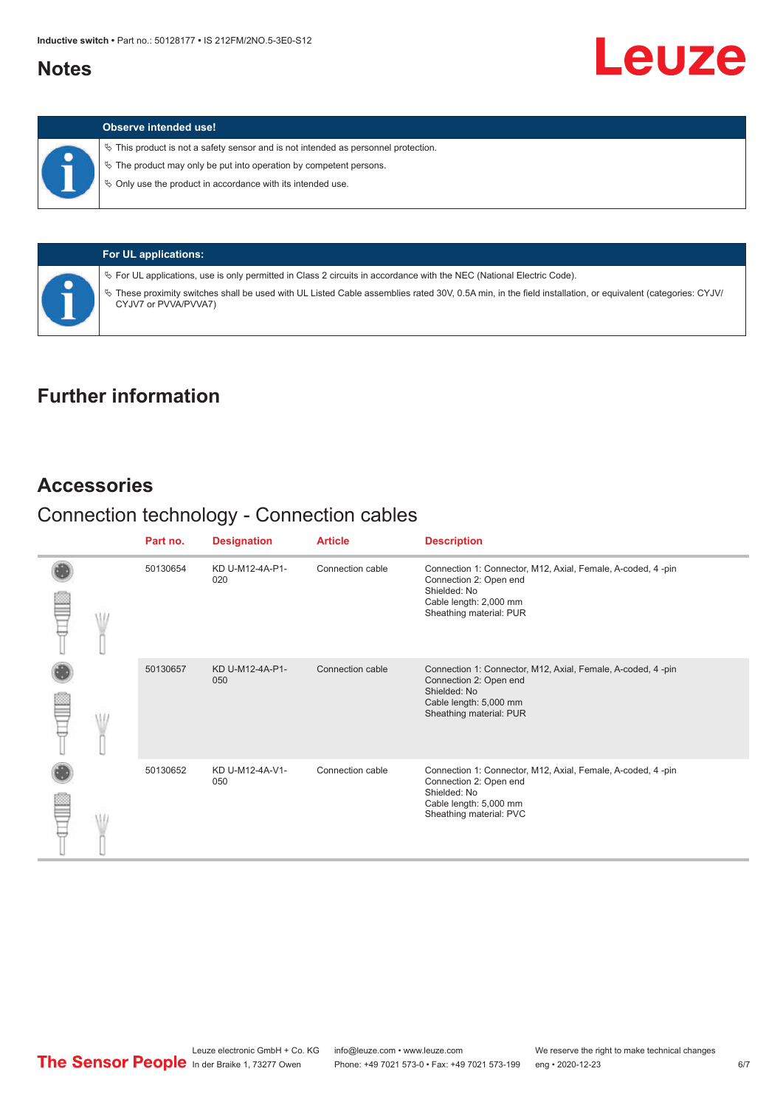#### <span id="page-5-0"></span>**Notes**

|  | Observe intended use! |  |
|--|-----------------------|--|
|--|-----------------------|--|

 $\%$  This product is not a safety sensor and is not intended as personnel protection.

 $\%$  The product may only be put into operation by competent persons.

 $\%$  Only use the product in accordance with its intended use.

|  | <b>For UL applications:</b>                                                                                                                                                       |
|--|-----------------------------------------------------------------------------------------------------------------------------------------------------------------------------------|
|  | $\%$ For UL applications, use is only permitted in Class 2 circuits in accordance with the NEC (National Electric Code).                                                          |
|  | V These proximity switches shall be used with UL Listed Cable assemblies rated 30V, 0.5A min, in the field installation, or equivalent (categories: CYJV/<br>CYJV7 or PVVA/PVVA7) |

### **Further information**

#### **Accessories**

## Connection technology - Connection cables

|  | Part no. | <b>Designation</b>     | <b>Article</b>   | <b>Description</b>                                                                                                                                         |
|--|----------|------------------------|------------------|------------------------------------------------------------------------------------------------------------------------------------------------------------|
|  | 50130654 | KD U-M12-4A-P1-<br>020 | Connection cable | Connection 1: Connector, M12, Axial, Female, A-coded, 4-pin<br>Connection 2: Open end<br>Shielded: No<br>Cable length: 2,000 mm<br>Sheathing material: PUR |
|  | 50130657 | KD U-M12-4A-P1-<br>050 | Connection cable | Connection 1: Connector, M12, Axial, Female, A-coded, 4-pin<br>Connection 2: Open end<br>Shielded: No<br>Cable length: 5,000 mm<br>Sheathing material: PUR |
|  | 50130652 | KD U-M12-4A-V1-<br>050 | Connection cable | Connection 1: Connector, M12, Axial, Female, A-coded, 4-pin<br>Connection 2: Open end<br>Shielded: No<br>Cable length: 5,000 mm<br>Sheathing material: PVC |

**Leuze**